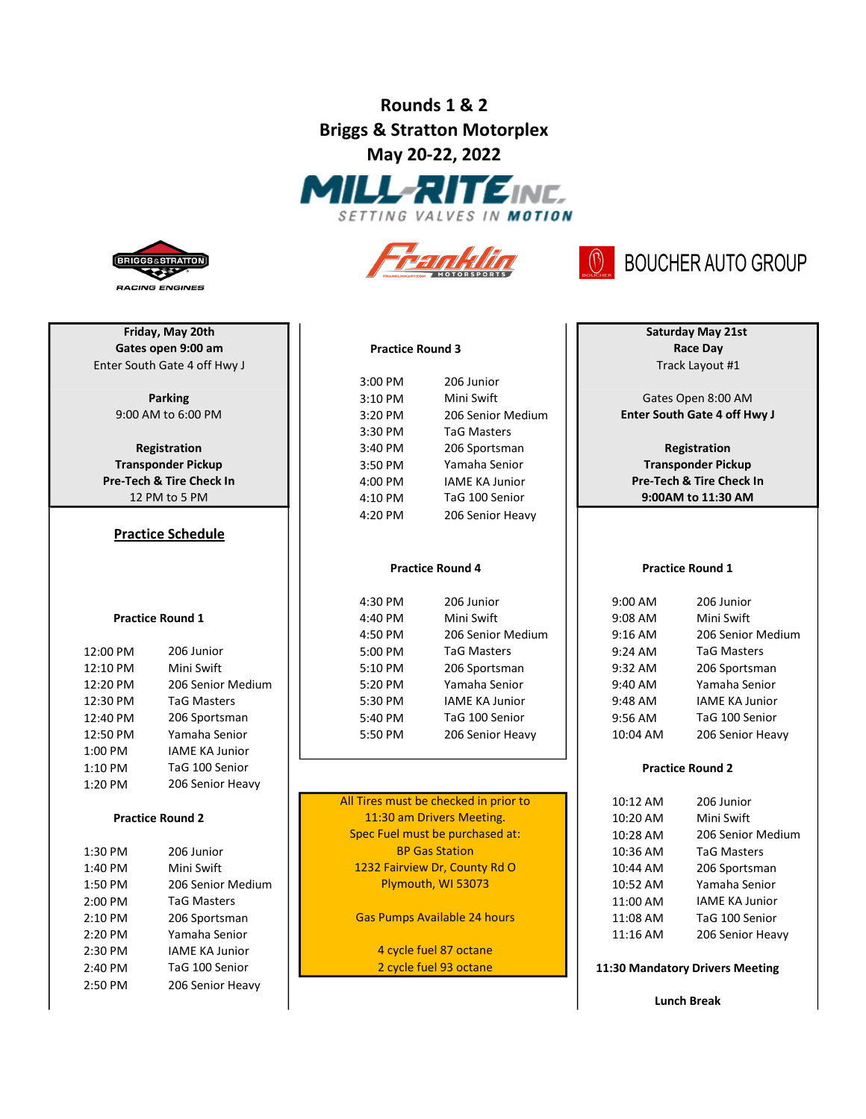# Rounds 1 & 2 Briggs & Stratton Motorplex May 20-22, 2022





**Friday, May 20th** Saturday May 21st Enter South Gate 4 off Hwy J Gates open 9:00 am

9:00 AM to 6:00 PM Parking

12 PM to 5 PM Pre-Tech & Tire Check In Transponder Pickup Registration

#### Practice Schedule

#### Practice Round 1

| 12:00 PM | 206 Junior            | 5:00 PM | TaG Masters           | $9:24$ AM | <b>TaG Masters</b>      |
|----------|-----------------------|---------|-----------------------|-----------|-------------------------|
| 12:10 PM | Mini Swift            | 5:10 PM | 206 Sportsman         | 9:32 AM   | 206 Sportsman           |
| 12:20 PM | 206 Senior Medium     | 5:20 PM | Yamaha Senior         | 9:40 AM   | Yamaha Senior           |
| 12:30 PM | TaG Masters           | 5:30 PM | <b>IAME KA Junior</b> | 9:48 AM   | <b>IAME KA Junior</b>   |
| 12:40 PM | 206 Sportsman         | 5:40 PM | TaG 100 Senior        | 9:56 AM   | TaG 100 Senior          |
| 12:50 PM | Yamaha Senior         | 5:50 PM | 206 Senior Heavy      | 10:04 AM  | 206 Senior Hear         |
| 1:00 PM  | <b>IAME KA Junior</b> |         |                       |           |                         |
| 1:10 PM  | TaG 100 Senior        |         |                       |           | <b>Practice Round 2</b> |
| 1:20 PM  | 206 Senior Heavy      |         |                       |           |                         |
|          |                       |         |                       |           |                         |

#### Practice Round 2

| $1:30$ PM | 206 Junior            | <b>BP Gas Station</b>               | 10:36 AM   | <b>TaG Masters</b>              |
|-----------|-----------------------|-------------------------------------|------------|---------------------------------|
| $1:40$ PM | Mini Swift            | 1232 Fairview Dr, County Rd O       | 10:44 AM   | 206 Sportsman                   |
| $1:50$ PM | 206 Senior Medium     | Plymouth, WI 53073                  | 10:52 AM   | Yamaha Senior                   |
| 2:00 PM   | <b>TaG Masters</b>    |                                     | 11:00 AM   | <b>IAME KA Junior</b>           |
| $2:10$ PM | 206 Sportsman         | <b>Gas Pumps Available 24 hours</b> | 11:08 AM   | TaG 100 Senior                  |
| $2:20$ PM | Yamaha Senior         |                                     | $11:16$ AM | 206 Senior Heavy                |
| $2:30$ PM | <b>IAME KA Junior</b> | 4 cycle fuel 87 octane              |            |                                 |
| 2:40 PM   | TaG 100 Senior        | 2 cycle fuel 93 octane              |            | 11:30 Mandatory Drivers Meeting |
| 2:50 PM   | 206 Senior Heavy      |                                     |            |                                 |







#### Practice Round 3

| 3:00 PM   |                       |
|-----------|-----------------------|
|           | 206 Junior            |
| 3:10 PM   | Mini Swift            |
| 3:20 PM   | 206 Senior Medium     |
| 3:30 PM   | <b>TaG Masters</b>    |
| $3:40$ PM | 206 Sportsman         |
| 3:50 PM   | Yamaha Senior         |
| 4:00 PM   | <b>IAME KA Junior</b> |
| 4:10 PM   | TaG 100 Senior        |
| 4:20 PM   | 206 Senior Heavy      |

4:30 PM 206 Junior 9:00 AM 206 Junior 4:40 PM Mini Swift 9:08 AM Mini Swift 12:20 PM 206 Senior Medium 5:20 PM Yamaha Senior 9:40 AM Yamaha Senior 12:30 PM IAME KA Junior | | 9:48 AM IAME KA Junior

1:30 PM 206 Junior 10:00 PM 206 Junior 10:00 PM 20:36 AM TaG Masters 1:40 PM Mini Swift | 1232 Fairview Dr, County Rd O | 10:44 AM 206 Sportsman All Tires must be checked in prior to 11:30 am Drivers Meeting. Spec Fuel must be purchased at: BP Gas Station

# Race Day Track Layout #1

Gates Open 8:00 AM Enter South Gate 4 off Hwy J

9:00AM to 11:30 AM Transponder Pickup Pre-Tech & Tire Check In Registration

#### Practice Round 4 Practice Round 1

4:50 PM 206 Senior Medium 9:16 AM 206 Senior Medium 12:50 PM Yamaha Senior 5:50 PM 206 Senior Heavy 10:04 AM 206 Senior Heavy

#### Practice Round 2

| 10:12 AM | 206 Junior            |
|----------|-----------------------|
| 10:20 AM | Mini Swift            |
| 10:28 AM | 206 Senior Medium     |
| 10:36 AM | <b>TaG Masters</b>    |
| 10:44 AM | 206 Sportsman         |
| 10:52 AM | Yamaha Senior         |
| 11:00 AM | <b>IAME KA Junior</b> |
| 11:08 AM | TaG 100 Senior        |
| 11:16 AM | 206 Senior Heavy      |

#### 11:30 Mandatory Drivers Meeting

Lunch Break